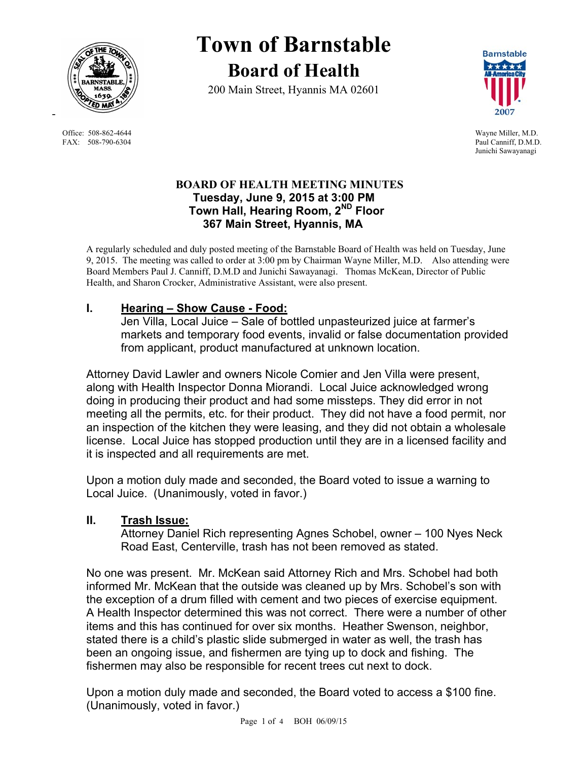

Office: 508-862-4644 Wayne Miller, M.D. FAX: 508-790-6304 Paul Canniff, D.M.D.

# **Town of Barnstable Board of Health**

200 Main Street, Hyannis MA 02601



Junichi Sawayanagi

## **BOARD OF HEALTH MEETING MINUTES Tuesday, June 9, 2015 at 3:00 PM Town Hall, Hearing Room, 2ND Floor 367 Main Street, Hyannis, MA**

A regularly scheduled and duly posted meeting of the Barnstable Board of Health was held on Tuesday, June 9, 2015. The meeting was called to order at 3:00 pm by Chairman Wayne Miller, M.D. Also attending were Board Members Paul J. Canniff, D.M.D and Junichi Sawayanagi. Thomas McKean, Director of Public Health, and Sharon Crocker, Administrative Assistant, were also present.

# **I. Hearing – Show Cause - Food:**

Jen Villa, Local Juice – Sale of bottled unpasteurized juice at farmer's markets and temporary food events, invalid or false documentation provided from applicant, product manufactured at unknown location.

Attorney David Lawler and owners Nicole Comier and Jen Villa were present, along with Health Inspector Donna Miorandi. Local Juice acknowledged wrong doing in producing their product and had some missteps. They did error in not meeting all the permits, etc. for their product. They did not have a food permit, nor an inspection of the kitchen they were leasing, and they did not obtain a wholesale license. Local Juice has stopped production until they are in a licensed facility and it is inspected and all requirements are met.

Upon a motion duly made and seconded, the Board voted to issue a warning to Local Juice. (Unanimously, voted in favor.)

## **II. Trash Issue:**

Attorney Daniel Rich representing Agnes Schobel, owner – 100 Nyes Neck Road East, Centerville, trash has not been removed as stated.

No one was present. Mr. McKean said Attorney Rich and Mrs. Schobel had both informed Mr. McKean that the outside was cleaned up by Mrs. Schobel's son with the exception of a drum filled with cement and two pieces of exercise equipment. A Health Inspector determined this was not correct. There were a number of other items and this has continued for over six months. Heather Swenson, neighbor, stated there is a child's plastic slide submerged in water as well, the trash has been an ongoing issue, and fishermen are tying up to dock and fishing. The fishermen may also be responsible for recent trees cut next to dock.

Upon a motion duly made and seconded, the Board voted to access a \$100 fine. (Unanimously, voted in favor.)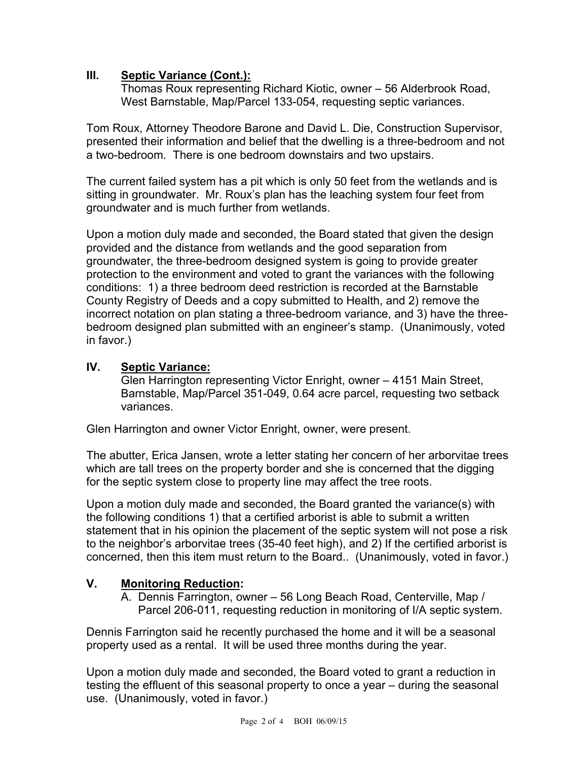## **III. Septic Variance (Cont.):**

Thomas Roux representing Richard Kiotic, owner – 56 Alderbrook Road, West Barnstable, Map/Parcel 133-054, requesting septic variances.

Tom Roux, Attorney Theodore Barone and David L. Die, Construction Supervisor, presented their information and belief that the dwelling is a three-bedroom and not a two-bedroom. There is one bedroom downstairs and two upstairs.

The current failed system has a pit which is only 50 feet from the wetlands and is sitting in groundwater. Mr. Roux's plan has the leaching system four feet from groundwater and is much further from wetlands.

Upon a motion duly made and seconded, the Board stated that given the design provided and the distance from wetlands and the good separation from groundwater, the three-bedroom designed system is going to provide greater protection to the environment and voted to grant the variances with the following conditions: 1) a three bedroom deed restriction is recorded at the Barnstable County Registry of Deeds and a copy submitted to Health, and 2) remove the incorrect notation on plan stating a three-bedroom variance, and 3) have the threebedroom designed plan submitted with an engineer's stamp. (Unanimously, voted in favor.)

## **IV. Septic Variance:**

Glen Harrington representing Victor Enright, owner – 4151 Main Street, Barnstable, Map/Parcel 351-049, 0.64 acre parcel, requesting two setback variances.

Glen Harrington and owner Victor Enright, owner, were present.

The abutter, Erica Jansen, wrote a letter stating her concern of her arborvitae trees which are tall trees on the property border and she is concerned that the digging for the septic system close to property line may affect the tree roots.

Upon a motion duly made and seconded, the Board granted the variance(s) with the following conditions 1) that a certified arborist is able to submit a written statement that in his opinion the placement of the septic system will not pose a risk to the neighbor's arborvitae trees (35-40 feet high), and 2) If the certified arborist is concerned, then this item must return to the Board.. (Unanimously, voted in favor.)

# **V. Monitoring Reduction:**

A. Dennis Farrington, owner – 56 Long Beach Road, Centerville, Map / Parcel 206-011, requesting reduction in monitoring of I/A septic system.

Dennis Farrington said he recently purchased the home and it will be a seasonal property used as a rental. It will be used three months during the year.

Upon a motion duly made and seconded, the Board voted to grant a reduction in testing the effluent of this seasonal property to once a year – during the seasonal use. (Unanimously, voted in favor.)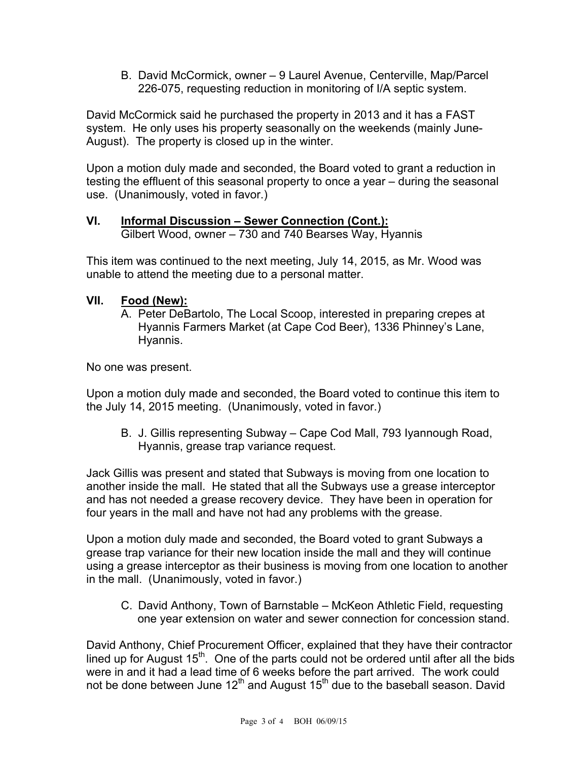B. David McCormick, owner – 9 Laurel Avenue, Centerville, Map/Parcel 226-075, requesting reduction in monitoring of I/A septic system.

David McCormick said he purchased the property in 2013 and it has a FAST system. He only uses his property seasonally on the weekends (mainly June-August). The property is closed up in the winter.

Upon a motion duly made and seconded, the Board voted to grant a reduction in testing the effluent of this seasonal property to once a year – during the seasonal use. (Unanimously, voted in favor.)

#### **VI. Informal Discussion – Sewer Connection (Cont.):**  Gilbert Wood, owner – 730 and 740 Bearses Way, Hyannis

This item was continued to the next meeting, July 14, 2015, as Mr. Wood was unable to attend the meeting due to a personal matter.

# **VII. Food (New):**

A. Peter DeBartolo, The Local Scoop, interested in preparing crepes at Hyannis Farmers Market (at Cape Cod Beer), 1336 Phinney's Lane, Hyannis.

No one was present.

Upon a motion duly made and seconded, the Board voted to continue this item to the July 14, 2015 meeting. (Unanimously, voted in favor.)

B. J. Gillis representing Subway – Cape Cod Mall, 793 Iyannough Road, Hyannis, grease trap variance request.

Jack Gillis was present and stated that Subways is moving from one location to another inside the mall. He stated that all the Subways use a grease interceptor and has not needed a grease recovery device. They have been in operation for four years in the mall and have not had any problems with the grease.

Upon a motion duly made and seconded, the Board voted to grant Subways a grease trap variance for their new location inside the mall and they will continue using a grease interceptor as their business is moving from one location to another in the mall. (Unanimously, voted in favor.)

C. David Anthony, Town of Barnstable – McKeon Athletic Field, requesting one year extension on water and sewer connection for concession stand.

David Anthony, Chief Procurement Officer, explained that they have their contractor lined up for August  $15<sup>th</sup>$ . One of the parts could not be ordered until after all the bids were in and it had a lead time of 6 weeks before the part arrived. The work could not be done between June 12<sup>th</sup> and August 15<sup>th</sup> due to the baseball season. David